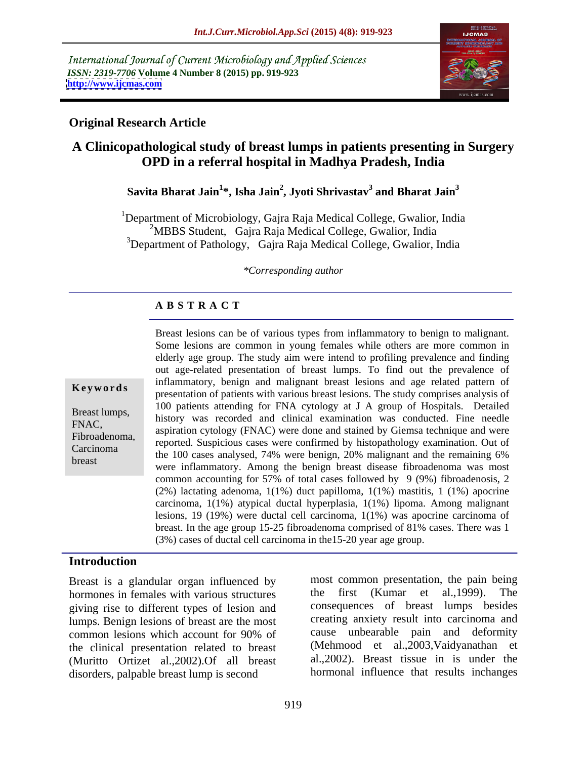International Journal of Current Microbiology and Applied Sciences *ISSN: 2319-7706* **Volume 4 Number 8 (2015) pp. 919-923 <http://www.ijcmas.com>**



# **Original Research Article**

# **A Clinicopathological study of breast lumps in patients presenting in Surgery OPD in a referral hospital in Madhya Pradesh, India**

### **Savita Bharat Jain<sup>1</sup> \*, Isha Jain<sup>2</sup> , Jyoti Shrivastav<sup>3</sup> and Bharat Jain<sup>3</sup>**

1Department of Microbiology, Gajra Raja Medical College, Gwalior, India <sup>2</sup>MBBS Student, Gajra Raja Medical College, Gwalior, India <sup>3</sup>Department of Pathology, Gajra Raja Medical College, Gwalior, India

*\*Corresponding author*

# **A B S T R A C T**

breast

Breast lesions can be of various types from inflammatory to benign to malignant. Some lesions are common in young females while others are more common in elderly age group. The study aim were intend to profiling prevalence and finding out age-related presentation of breast lumps. To find out the prevalence of inflammatory, benign and malignant breast lesions and age related pattern of **Keywords** minimization of patients with various breast lesions. The study comprises analysis of presentation of patients with various breast lesions. The study comprises analysis of 100 patients attending for FNA cytology at J A group of Hospitals. Detailed Breast lumps,<br>history was recorded and clinical examination was conducted. Fine needle FNAC,<br>aspiration cytology (FNAC) were done and stained by Giemsa technique and were Fibroadenoma, asphalton cylology (1111) were done and stained by Greinsa definition and were<br>Consinerated by histopathology examination. Out of Exercinoma<br>the 100 cases analysed, 74% were benign, 20% malignant and the remaining 6% were inflammatory. Among the benign breast disease fibroadenoma was most common accounting for 57% of total cases followed by 9 (9%) fibroadenosis, 2 (2%) lactating adenoma, 1(1%) duct papilloma, 1(1%) mastitis, 1 (1%) apocrine carcinoma, 1(1%) atypical ductal hyperplasia, 1(1%) lipoma. Among malignant lesions, 19 (19%) were ductal cell carcinoma, 1(1%) was apocrine carcinoma of breast. In the age group 15-25 fibroadenoma comprised of 81% cases. There was 1 (3%) cases of ductal cell carcinoma in the15-20 year age group.

# **Introduction**

Breast is a glandular organ influenced by most common presentation, the pain<br>hormones in females with various structures the first (Kumar et al.,1999). hormones in females with various structures the first (Kumar et al., 1999). The giving rise to different types of lesion and lumps. Benign lesions of breast are the most the clinical presentation related to breast (Muritto Ortizet al.,2002).Of all breast disorders, palpable breast lump is second

common lesions which account for 90% of most common presentation, the pain being the first (Kumar et al.,1999). The consequences of breast lumps besides creating anxiety result into carcinoma and cause unbearable pain and deformity (Mehmood et al.,2003,Vaidyanathan et al.,2002). Breast tissue in is under the hormonal influence that results inchanges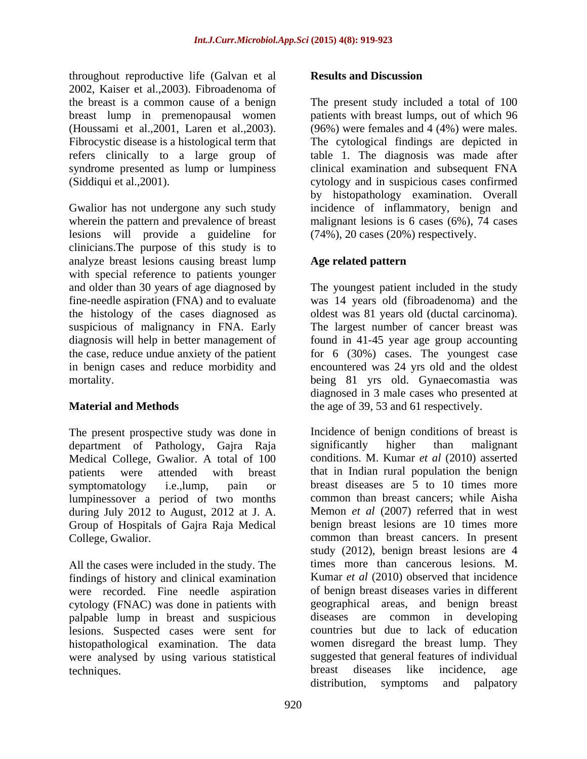throughout reproductive life (Galvan et al 2002, Kaiser et al.,2003). Fibroadenoma of syndrome presented as lump or lumpiness

wherein the pattern and prevalence of breast malignant lesions is 6 cases (6%), 74 cases lesions will provide a guideline for clinicians.The purpose of this study is to analyze breast lesions causing breast lump with special reference to patients younger and older than 30 years of age diagnosed by The youngest patient included in the study fine-needle aspiration (FNA) and to evaluate was 14 years old (fibroadenoma) and the the histology of the cases diagnosed as oldest was 81 years old (ductal carcinoma). suspicious of malignancy in FNA. Early The largest number of cancer breast was diagnosis will help in better management of found in 41-45 year age group accounting the case, reduce undue anxiety of the patient for 6 (30%) cases. The youngest case in benign cases and reduce morbidity and encountered was 24 yrs old and the oldest

The present prospective study was done in line in line of benign container the partner of Pathology. Gaira Raia significantly higher department of Pathology, Gajra Raja significantly higher than malignant Medical College, Gwalior. A total of 100 lumpinessover a period of two months during July 2012 to August, 2012 at J. A. Group of Hospitals of Gajra Raja Medical

findings of history and clinical examination were recorded. Fine needle aspiration cytology (FNAC) was done in patients with geographical areas, and benign breast palnable lump in breast and suspicious diseases are common in developing palpable lump in breast and suspicious lesions. Suspected cases were sent for were analysed by using various statistical suggested that general feach<br>niques breast diseases like

## **Results and Discussion**

the breast is a common cause of a benign The present study included a total of 100 breast lump in premenopausal women patients with breast lumps, out of which 96 (Houssami et al.,2001, Laren et al.,2003). (96%) were females and 4 (4%) were males.<br>Fibrocystic disease is a histological term that The cytological findings are depicted in refers clinically to a large group of table 1. The diagnosis was made after (Siddiqui et al.,2001). (Siddiqui et al.,2001).<br>Gwalior has not undergone any such study by histopathology examination. Overall<br>Gwalior has not undergone any such study incidence of inflammatory, benign and (96%) were females and 4 (4%) were males. The cytological findings are depicted in clinical examination and subsequent FNA cytology and in suspicious cases confirmed by histopathology examination. Overall incidence of inflammatory, benign and (74%), 20 cases (20%) respectively.

# **Age related pattern**

mortality. being 81 yrs old. Gynaecomastia was **Material and Methods** the age of 39, 53 and 61 respectively. diagnosed in 3 male cases who presented at

patients were attended with breast that in Indian rural population the benign symptomatology i.e.,lump, pain or breast diseases are 5 to 10 times more College, Gwalior. common than breast cancers. In present<br>study (2012), benign breast lesions are 4<br>All the cases were included in the study. The times more than cancerous lesions. M. histopathological examination. The data women disregard the breast lump. They techniques. The example of the example of the example of the example of the example of the example of the example of the example of the example of the example of the example of the example of the example of the example of Incidence of benign conditions of breast is significantly higher than malignant conditions. M. Kumar *et al* (2010) asserted common than breast cancers; while Aisha Memon *et al* (2007) referred that in west benign breast lesions are 10 times more common than breast cancers. In present study (2012), benign breast lesions are 4 times more than cancerous lesions. M. Kumar *et al* (2010) observed that incidence of benign breast diseases varies in different geographical areas, and benign breast diseases are common in developing countries but due to lack of education suggested that general features of individual breast diseases like incidence, age distribution, symptoms and palpatory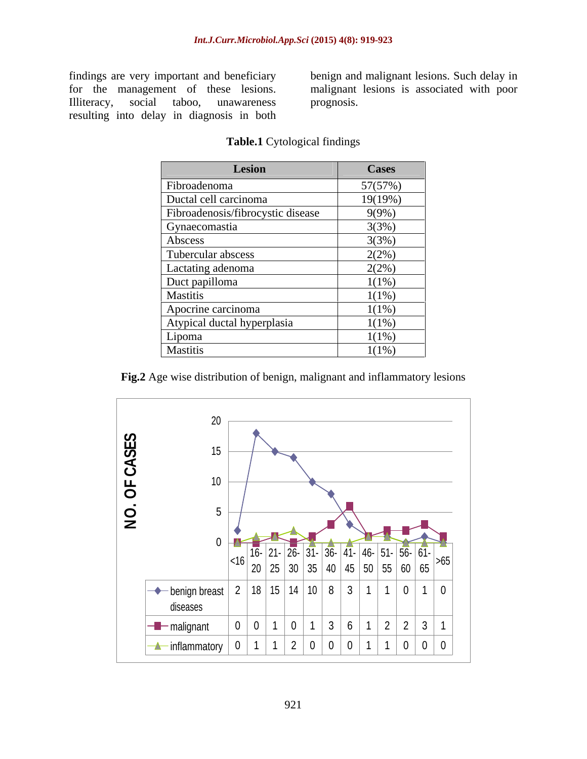findings are very important and beneficiary Illiteracy, social taboo, unawareness prognosis. resulting into delay in diagnosis in both

for the management of these lesions. malignant lesions is associated with poor benign and malignant lesions. Such delay in prognosis.

| Lesion                            | <b>Cases</b> |
|-----------------------------------|--------------|
| Fibroadenoma                      | 57(57%)      |
| Ductal cell carcinoma             | 19(19%)      |
| Fibroadenosis/fibrocystic disease | $9(9\%)$     |
| Gynaecomastia                     | 3(3%)        |
| Abscess                           | 3(3%)        |
| Tubercular abscess                | 2(2%)        |
| Lactating adenoma                 | 2(2%)        |
| Duct papilloma                    | $1(1\%)$     |
| Mastitis                          | $1(1\%)$     |
| Apocrine carcinoma                | $1(1\%)$     |
| Atypical ductal hyperplasia       | $1(1\%)$     |
| Lipoma                            | $1(1\%)$     |
| Mastitis                          | $1(1\%)$     |

# **Table.1** Cytological findings

# **Fig.2** Age wise distribution of benign, malignant and inflammatory lesions

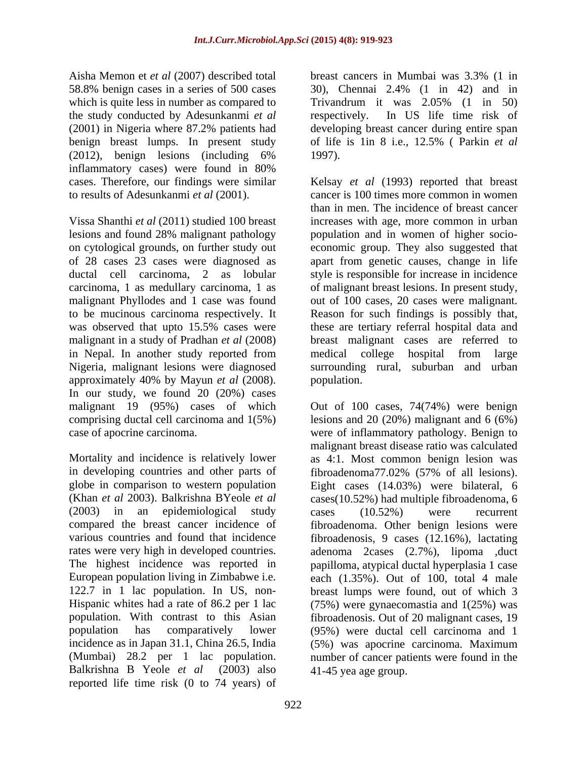Aisha Memon et *et al* (2007) described total which is quite less in number as compared to Trivandrum it was  $2.05\%$  (1 in 50) the study conducted by Adesunkanmi *et al* benign breast lumps. In present study (2012), benign lesions (including 6% inflammatory cases) were found in 80%

on cytological grounds, on further study out malignant in a study of Pradhan *et al* (2008) in Nepal. In another study reported from Nigeria, malignant lesions were diagnosed approximately 40% by Mayun *et al* (2008). In our study, we found 20 (20%) cases

population. With contrast to this Asian incidence as in Japan 31.1, China 26.5, India (5%) was apocrine carcinoma. Maximum reported life time risk (0 to 74 years) of

58.8% benign cases in a series of 500 cases 30), Chennai 2.4% (1 in 42) and in (2001) in Nigeria where 87.2% patients had breast cancers in Mumbai was 3.3% (1 in Trivandrum it was 2.05% (1 in 50) respectively. In US life time risk of developing breast cancer during entire span of life is 1in 8 i.e., 12.5% ( Parkin *et al* 1997).

cases. Therefore, our findings were similar Kelsay *et al* (1993) reported that breast to results of Adesunkanmi *et al* (2001). cancer is 100 times more common in women Vissa Shanthi *et al* (2011) studied 100 breast increases with age, more common in urban lesions and found 28% malignant pathology of 28 cases 23 cases were diagnosed as apart from genetic causes, change in life ductal cell carcinoma, 2 as lobular style is responsible for increase in incidence carcinoma, 1 as medullary carcinoma, 1 as of malignant breast lesions. In present study, malignant Phyllodes and 1 case was found out of 100 cases, 20 cases were malignant. to be mucinous carcinoma respectively. It Reason for such findings is possibly that, was observed that upto 15.5% cases were these are tertiary referral hospital data and than in men. The incidence of breast cancer population and in women of higher socio economic group. They also suggested that breast malignant cases are referred to medical college hospital from large surrounding rural, suburban and urban population.

malignant 19 (95%) cases of which Out of 100 cases, 74(74%) were benign comprising ductal cell carcinoma and 1(5%) lesions and 20 (20%) malignant and 6 (6%) case of apocrine carcinoma. were of inflammatory pathology. Benign to Mortality and incidence is relatively lower as 4:1. Most common benign lesion was in developing countries and other parts of fibroadenoma77.02% (57% of all lesions). globe in comparison to western population Eight cases (14.03%) were bilateral, 6 (Khan *et al* 2003). Balkrishna BYeole *et al* cases(10.52%) had multiple fibroadenoma, 6 (2003) in an epidemiological study compared the breast cancer incidence of fibroadenoma. Other benign lesions were various countries and found that incidence fibroadenosis, 9 cases (12.16%), lactating rates were very high in developed countries. adenoma 2cases (2.7%), lipoma ,duct The highest incidence was reported in papilloma, atypical ductal hyperplasia 1 case European population living in Zimbabwe i.e. each (1.35%). Out of 100, total 4 male 122.7 in 1 lac population. In US, non- breast lumps were found, out of which 3 Hispanic whites had a rate of 86.2 per 1 lac (75%) were gynaecomastia and 1(25%) was population has comparatively lower (95%) were ductal cell carcinoma and 1 (Mumbai) 28.2 per 1 lac population. number of cancer patients were found in the Balkrishna B Yeole *et al* (2003) also malignant breast disease ratio was calculated cases (10.52%) were recurrent fibroadenosis. Out of 20 malignant cases, 19 (5%) was apocrine carcinoma. Maximum 41-45 yea age group.